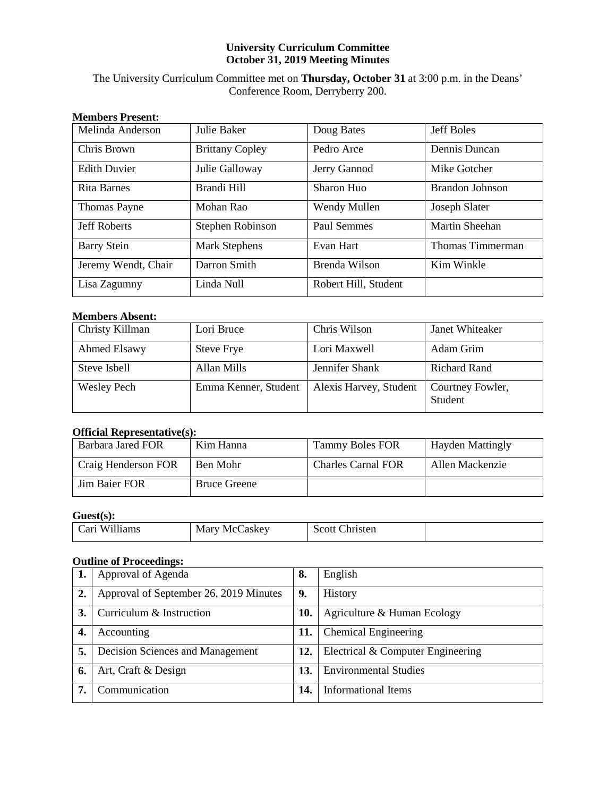# **University Curriculum Committee October 31, 2019 Meeting Minutes**

# The University Curriculum Committee met on **Thursday, October 31** at 3:00 p.m. in the Deans' Conference Room, Derryberry 200.

| <b>Members Present:</b> |                        |                      |                       |
|-------------------------|------------------------|----------------------|-----------------------|
| Melinda Anderson        | Julie Baker            | Doug Bates           | <b>Jeff Boles</b>     |
| Chris Brown             | <b>Brittany Copley</b> | Pedro Arce           | Dennis Duncan         |
| <b>Edith Duvier</b>     | Julie Galloway         | Jerry Gannod         | Mike Gotcher          |
| Rita Barnes             | Brandi Hill            | Sharon Huo           | Brandon Johnson       |
| <b>Thomas Payne</b>     | Mohan Rao              | Wendy Mullen         | Joseph Slater         |
| <b>Jeff Roberts</b>     | Stephen Robinson       | Paul Semmes          | <b>Martin Sheehan</b> |
| <b>Barry Stein</b>      | <b>Mark Stephens</b>   | Evan Hart            | Thomas Timmerman      |
| Jeremy Wendt, Chair     | Darron Smith           | Brenda Wilson        | Kim Winkle            |
| Lisa Zagumny            | Linda Null             | Robert Hill, Student |                       |

# **Members Absent:**

| Christy Killman    | Lori Bruce           | Chris Wilson           | Janet Whiteaker             |
|--------------------|----------------------|------------------------|-----------------------------|
| Ahmed Elsawy       | <b>Steve Frye</b>    | Lori Maxwell           | Adam Grim                   |
| Steve Isbell       | Allan Mills          | Jennifer Shank         | <b>Richard Rand</b>         |
| <b>Wesley Pech</b> | Emma Kenner, Student | Alexis Harvey, Student | Courtney Fowler,<br>Student |

# **Official Representative(s):**

| Barbara Jared FOR    | Kim Hanna           | <b>Tammy Boles FOR</b>    | <b>Hayden Mattingly</b> |
|----------------------|---------------------|---------------------------|-------------------------|
| Craig Henderson FOR  | Ben Mohr            | <b>Charles Carnal FOR</b> | Allen Mackenzie         |
| <b>Jim Baier FOR</b> | <b>Bruce Greene</b> |                           |                         |

# **Guest(s):**

| `arı<br>Williams | Marv<br>askev<br>Me! | sten<br>$\sim$ $\sim$ ++<br>ы.<br>י |  |
|------------------|----------------------|-------------------------------------|--|
|------------------|----------------------|-------------------------------------|--|

# **Outline of Proceedings:**

|    | Approval of Agenda                     | 8.  | English                           |
|----|----------------------------------------|-----|-----------------------------------|
| 2. | Approval of September 26, 2019 Minutes | 9.  | History                           |
| 3. | Curriculum & Instruction               | 10. | Agriculture & Human Ecology       |
| 4. | Accounting                             | 11. | <b>Chemical Engineering</b>       |
| 5. | Decision Sciences and Management       | 12. | Electrical & Computer Engineering |
| 6. | Art, Craft & Design                    | 13. | <b>Environmental Studies</b>      |
| 7. | Communication                          | 14. | Informational Items               |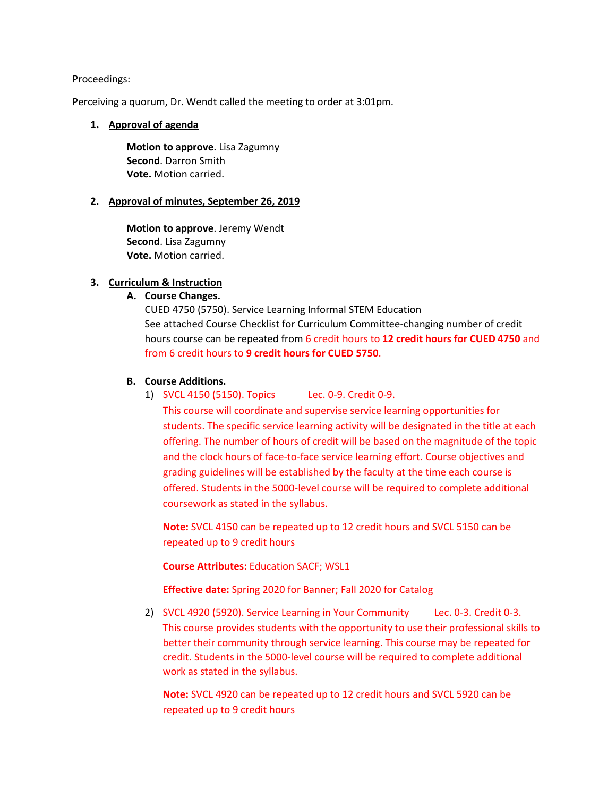## Proceedings:

Perceiving a quorum, Dr. Wendt called the meeting to order at 3:01pm.

# **1. Approval of agenda**

**Motion to approve**. Lisa Zagumny **Second**. Darron Smith **Vote.** Motion carried.

# **2. Approval of minutes, September 26, 2019**

**Motion to approve**. Jeremy Wendt **Second**. Lisa Zagumny **Vote.** Motion carried.

# **3. Curriculum & Instruction**

# **A. Course Changes.**

CUED 4750 (5750). Service Learning Informal STEM Education See attached Course Checklist for Curriculum Committee-changing number of credit hours course can be repeated from 6 credit hours to **12 credit hours for CUED 4750** and from 6 credit hours to **9 credit hours for CUED 5750**.

# **B. Course Additions.**

1) SVCL 4150 (5150). Topics Lec. 0-9. Credit 0-9.

This course will coordinate and supervise service learning opportunities for students. The specific service learning activity will be designated in the title at each offering. The number of hours of credit will be based on the magnitude of the topic and the clock hours of face-to-face service learning effort. Course objectives and grading guidelines will be established by the faculty at the time each course is offered. Students in the 5000-level course will be required to complete additional coursework as stated in the syllabus.

**Note:** SVCL 4150 can be repeated up to 12 credit hours and SVCL 5150 can be repeated up to 9 credit hours

**Course Attributes:** Education SACF; WSL1

**Effective date:** Spring 2020 for Banner; Fall 2020 for Catalog

2) SVCL 4920 (5920). Service Learning in Your Community Lec. 0-3. Credit 0-3. This course provides students with the opportunity to use their professional skills to better their community through service learning. This course may be repeated for credit. Students in the 5000-level course will be required to complete additional work as stated in the syllabus.

**Note:** SVCL 4920 can be repeated up to 12 credit hours and SVCL 5920 can be repeated up to 9 credit hours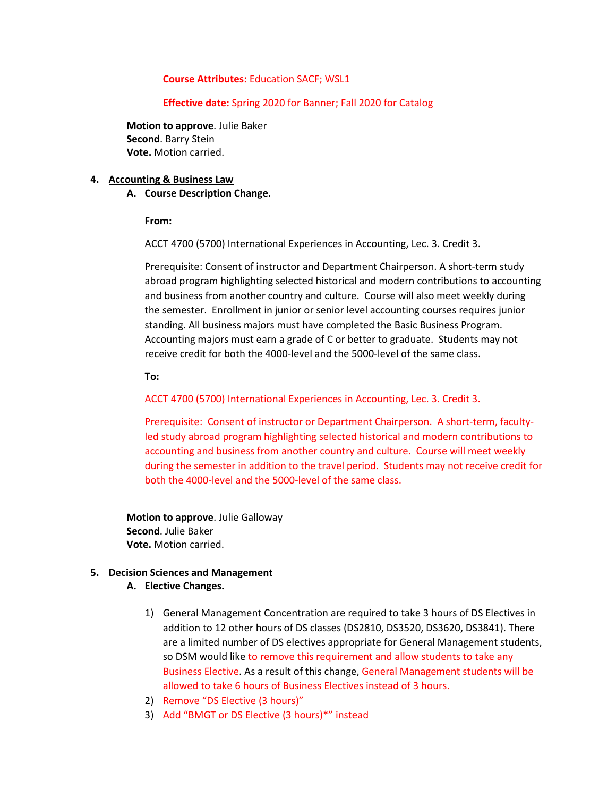# **Course Attributes:** Education SACF; WSL1

# **Effective date:** Spring 2020 for Banner; Fall 2020 for Catalog

**Motion to approve**. Julie Baker **Second**. Barry Stein **Vote.** Motion carried.

# **4. Accounting & Business Law**

# **A. Course Description Change.**

**From:**

ACCT 4700 (5700) International Experiences in Accounting, Lec. 3. Credit 3.

Prerequisite: Consent of instructor and Department Chairperson. A short-term study abroad program highlighting selected historical and modern contributions to accounting and business from another country and culture. Course will also meet weekly during the semester. Enrollment in junior or senior level accounting courses requires junior standing. All business majors must have completed the Basic Business Program. Accounting majors must earn a grade of C or better to graduate. Students may not receive credit for both the 4000-level and the 5000-level of the same class.

**To:**

ACCT 4700 (5700) International Experiences in Accounting, Lec. 3. Credit 3.

Prerequisite: Consent of instructor or Department Chairperson. A short-term, facultyled study abroad program highlighting selected historical and modern contributions to accounting and business from another country and culture. Course will meet weekly during the semester in addition to the travel period. Students may not receive credit for both the 4000-level and the 5000-level of the same class.

**Motion to approve**. Julie Galloway **Second**. Julie Baker **Vote.** Motion carried.

# **5. Decision Sciences and Management**

- **A. Elective Changes.**
	- 1) General Management Concentration are required to take 3 hours of DS Electives in addition to 12 other hours of DS classes (DS2810, DS3520, DS3620, DS3841). There are a limited number of DS electives appropriate for General Management students, so DSM would like to remove this requirement and allow students to take any Business Elective. As a result of this change, General Management students will be allowed to take 6 hours of Business Electives instead of 3 hours.
	- 2) Remove "DS Elective (3 hours)"
	- 3) Add "BMGT or DS Elective (3 hours)\*" instead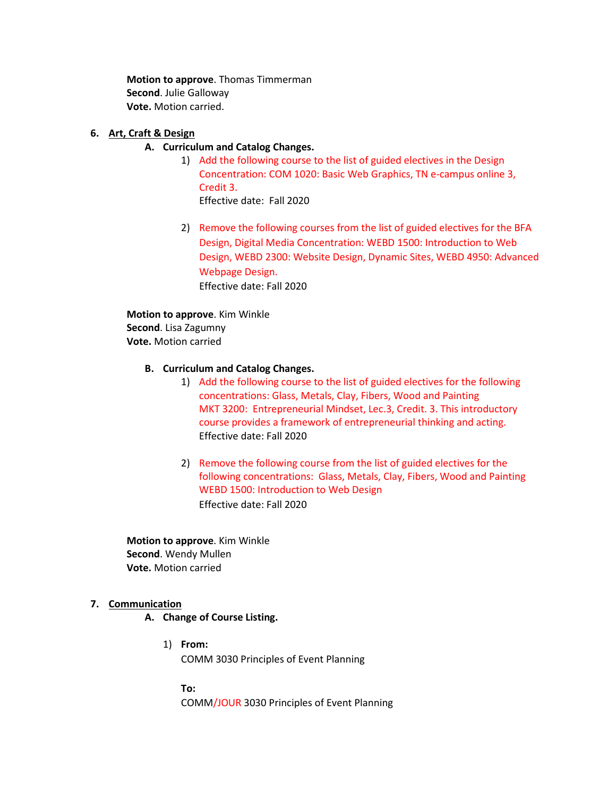**Motion to approve**. Thomas Timmerman **Second**. Julie Galloway **Vote.** Motion carried.

# **6. Art, Craft & Design**

# **A. Curriculum and Catalog Changes.**

- 1) Add the following course to the list of guided electives in the Design Concentration: COM 1020: Basic Web Graphics, TN e-campus online 3, Credit 3. Effective date: Fall 2020
- 2) Remove the following courses from the list of guided electives for the BFA Design, Digital Media Concentration: WEBD 1500: Introduction to Web Design, WEBD 2300: Website Design, Dynamic Sites, WEBD 4950: Advanced Webpage Design. Effective date: Fall 2020

**Motion to approve**. Kim Winkle **Second**. Lisa Zagumny **Vote.** Motion carried

# **B. Curriculum and Catalog Changes.**

- 1) Add the following course to the list of guided electives for the following concentrations: Glass, Metals, Clay, Fibers, Wood and Painting MKT 3200: Entrepreneurial Mindset, Lec.3, Credit. 3. This introductory course provides a framework of entrepreneurial thinking and acting. Effective date: Fall 2020
- 2) Remove the following course from the list of guided electives for the following concentrations: Glass, Metals, Clay, Fibers, Wood and Painting WEBD 1500: Introduction to Web Design Effective date: Fall 2020

**Motion to approve**. Kim Winkle **Second**. Wendy Mullen **Vote.** Motion carried

# **7. Communication**

## **A. Change of Course Listing.**

1) **From:** COMM 3030 Principles of Event Planning

> **To:** COMM/JOUR 3030 Principles of Event Planning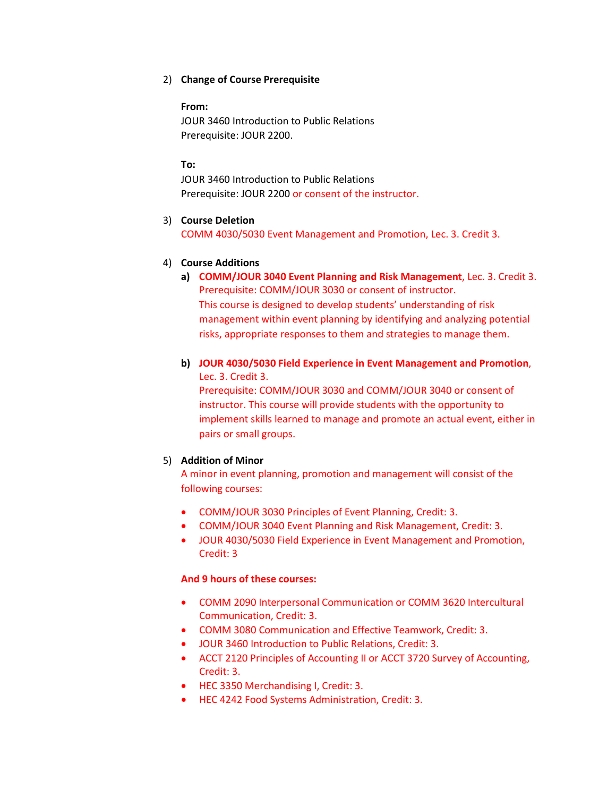# 2) **Change of Course Prerequisite**

## **From:**

JOUR 3460 Introduction to Public Relations Prerequisite: JOUR 2200.

# **To:**

JOUR 3460 Introduction to Public Relations Prerequisite: JOUR 2200 or consent of the instructor.

# 3) **Course Deletion**

COMM 4030/5030 Event Management and Promotion, Lec. 3. Credit 3.

# 4) **Course Additions**

**a) COMM/JOUR 3040 Event Planning and Risk Management**, Lec. 3. Credit 3. Prerequisite: COMM/JOUR 3030 or consent of instructor. This course is designed to develop students' understanding of risk management within event planning by identifying and analyzing potential risks, appropriate responses to them and strategies to manage them.

# **b) JOUR 4030/5030 Field Experience in Event Management and Promotion**, Lec. 3. Credit 3.

Prerequisite: COMM/JOUR 3030 and COMM/JOUR 3040 or consent of instructor. This course will provide students with the opportunity to implement skills learned to manage and promote an actual event, either in pairs or small groups.

# 5) **Addition of Minor**

A minor in event planning, promotion and management will consist of the following courses:

- COMM/JOUR 3030 Principles of Event Planning, Credit: 3.
- COMM/JOUR 3040 Event Planning and Risk Management, Credit: 3.
- JOUR 4030/5030 Field Experience in Event Management and Promotion, Credit: 3

# **And 9 hours of these courses:**

- COMM 2090 Interpersonal Communication or COMM 3620 Intercultural Communication, Credit: 3.
- COMM 3080 Communication and Effective Teamwork, Credit: 3.
- JOUR 3460 Introduction to Public Relations, Credit: 3.
- ACCT 2120 Principles of Accounting II or ACCT 3720 Survey of Accounting, Credit: 3.
- HEC 3350 Merchandising I, Credit: 3.
- HEC 4242 Food Systems Administration, Credit: 3.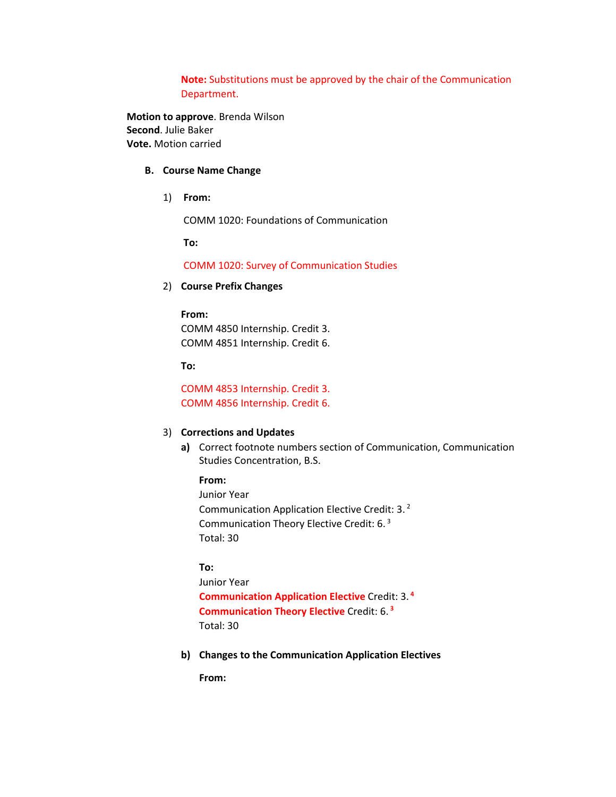**Note:** Substitutions must be approved by the chair of the Communication Department.

**Motion to approve**. Brenda Wilson **Second**. Julie Baker **Vote.** Motion carried

## **B. Course Name Change**

1) **From:**

COMM 1020: Foundations of Communication

**To:**

COMM 1020: Survey of Communication Studies

2) **Course Prefix Changes**

#### **From:**

COMM 4850 Internship. Credit 3. COMM 4851 Internship. Credit 6.

**To:**

COMM 4853 Internship. Credit 3. COMM 4856 Internship. Credit 6.

## 3) **Corrections and Updates**

- **a)** Correct footnote numbers section of Communication, Communication Studies Concentration, B.S.
	- **From:**

Junior Year Communication Application Elective Credit: 3. <sup>2</sup> Communication Theory Elective Credit: 6. <sup>3</sup> Total: 30

# **To:**

Junior Year **Communication Application Elective** Credit: 3. **<sup>4</sup> Communication Theory Elective** Credit: 6. **<sup>3</sup>** Total: 30

**b) Changes to the Communication Application Electives**

**From:**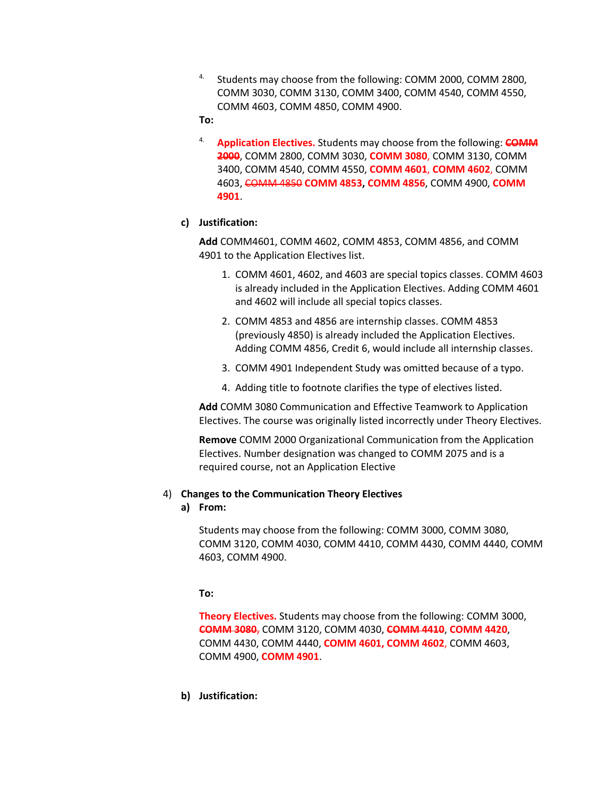- <sup>4.</sup> Students may choose from the following: COMM 2000, COMM 2800, COMM 3030, COMM 3130, COMM 3400, COMM 4540, COMM 4550, COMM 4603, COMM 4850, COMM 4900.
- **To:**
- 4. **Application Electives.** Students may choose from the following: **COMM 2000**, COMM 2800, COMM 3030, **COMM 3080**, COMM 3130, COMM 3400, COMM 4540, COMM 4550, **COMM 4601**, **COMM 4602**, COMM 4603, COMM 4850 **COMM 4853, COMM 4856**, COMM 4900, **COMM 4901**.

# **c) Justification:**

**Add** COMM4601, COMM 4602, COMM 4853, COMM 4856, and COMM 4901 to the Application Electives list.

- 1. COMM 4601, 4602, and 4603 are special topics classes. COMM 4603 is already included in the Application Electives. Adding COMM 4601 and 4602 will include all special topics classes.
- 2. COMM 4853 and 4856 are internship classes. COMM 4853 (previously 4850) is already included the Application Electives. Adding COMM 4856, Credit 6, would include all internship classes.
- 3. COMM 4901 Independent Study was omitted because of a typo.
- 4. Adding title to footnote clarifies the type of electives listed.

**Add** COMM 3080 Communication and Effective Teamwork to Application Electives. The course was originally listed incorrectly under Theory Electives.

**Remove** COMM 2000 Organizational Communication from the Application Electives. Number designation was changed to COMM 2075 and is a required course, not an Application Elective

#### 4) **Changes to the Communication Theory Electives**

**a) From:**

Students may choose from the following: COMM 3000, COMM 3080, COMM 3120, COMM 4030, COMM 4410, COMM 4430, COMM 4440, COMM 4603, COMM 4900.

**To:**

**Theory Electives.** Students may choose from the following: COMM 3000, **COMM 3080**, COMM 3120, COMM 4030, **COMM 4410**, **COMM 4420**, COMM 4430, COMM 4440, **COMM 4601, COMM 4602**, COMM 4603, COMM 4900, **COMM 4901**.

**b) Justification:**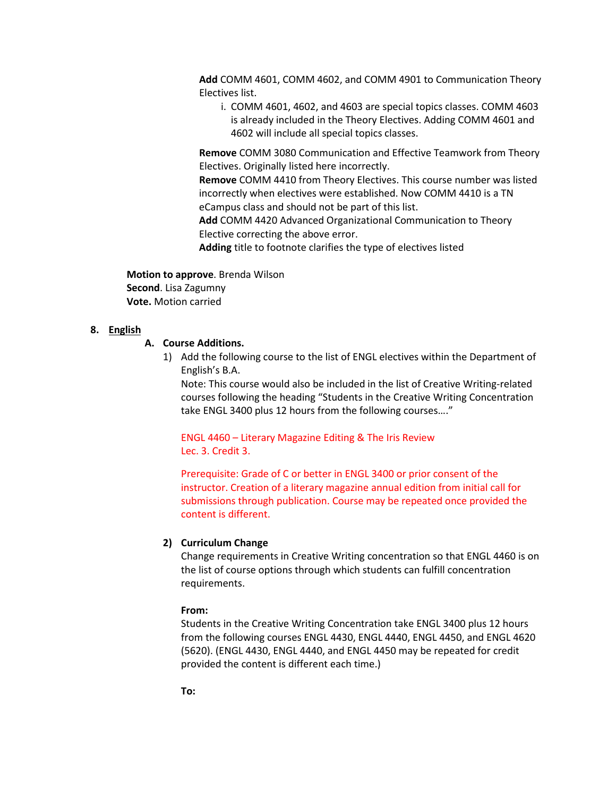**Add** COMM 4601, COMM 4602, and COMM 4901 to Communication Theory Electives list.

i. COMM 4601, 4602, and 4603 are special topics classes. COMM 4603 is already included in the Theory Electives. Adding COMM 4601 and 4602 will include all special topics classes.

**Remove** COMM 3080 Communication and Effective Teamwork from Theory Electives. Originally listed here incorrectly.

**Remove** COMM 4410 from Theory Electives. This course number was listed incorrectly when electives were established. Now COMM 4410 is a TN eCampus class and should not be part of this list.

**Add** COMM 4420 Advanced Organizational Communication to Theory Elective correcting the above error.

**Adding** title to footnote clarifies the type of electives listed

**Motion to approve**. Brenda Wilson **Second**. Lisa Zagumny **Vote.** Motion carried

## **8. English**

# **A. Course Additions.**

1) Add the following course to the list of ENGL electives within the Department of English's B.A.

Note: This course would also be included in the list of Creative Writing-related courses following the heading "Students in the Creative Writing Concentration take ENGL 3400 plus 12 hours from the following courses…."

ENGL 4460 – Literary Magazine Editing & The Iris Review Lec. 3. Credit 3.

Prerequisite: Grade of C or better in ENGL 3400 or prior consent of the instructor. Creation of a literary magazine annual edition from initial call for submissions through publication. Course may be repeated once provided the content is different.

## **2) Curriculum Change**

Change requirements in Creative Writing concentration so that ENGL 4460 is on the list of course options through which students can fulfill concentration requirements.

#### **From:**

Students in the Creative Writing Concentration take ENGL 3400 plus 12 hours from the following courses ENGL 4430, ENGL 4440, ENGL 4450, and ENGL 4620 (5620). (ENGL 4430, ENGL 4440, and ENGL 4450 may be repeated for credit provided the content is different each time.)

**To:**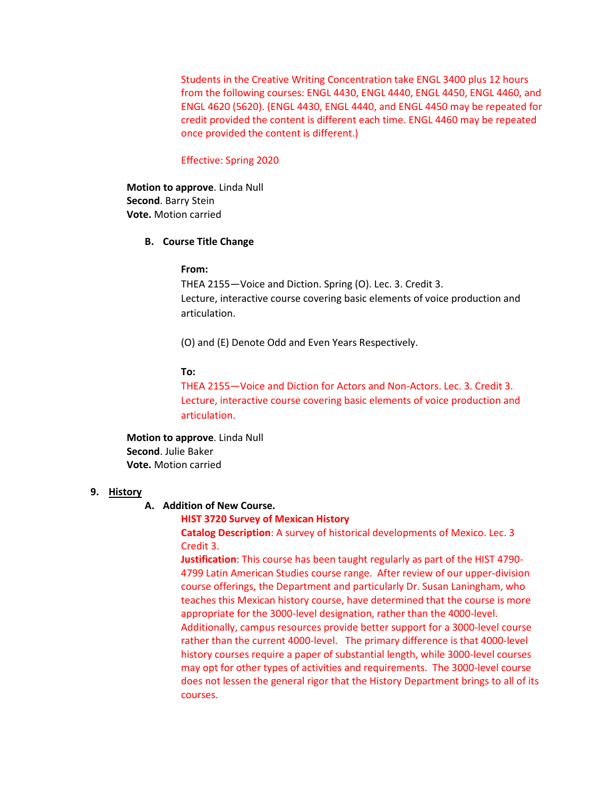Students in the Creative Writing Concentration take ENGL 3400 plus 12 hours from the following courses: ENGL 4430, ENGL 4440, ENGL 4450, ENGL 4460, and ENGL 4620 (5620). (ENGL 4430, ENGL 4440, and ENGL 4450 may be repeated for credit provided the content is different each time. ENGL 4460 may be repeated once provided the content is different.)

## Effective: Spring 2020

**Motion to approve**. Linda Null **Second**. Barry Stein **Vote.** Motion carried

#### **B. Course Title Change**

#### **From:**

THEA 2155—Voice and Diction. Spring (O). Lec. 3. Credit 3. Lecture, interactive course covering basic elements of voice production and articulation.

(O) and (E) Denote Odd and Even Years Respectively.

### **To:**

THEA 2155—Voice and Diction for Actors and Non-Actors. Lec. 3. Credit 3. Lecture, interactive course covering basic elements of voice production and articulation.

**Motion to approve**. Linda Null **Second**. Julie Baker **Vote.** Motion carried

# **9. History**

#### **A. Addition of New Course.**

# **HIST 3720 Survey of Mexican History**

**Catalog Description**: A survey of historical developments of Mexico. Lec. 3 Credit 3.

**Justification**: This course has been taught regularly as part of the HIST 4790- 4799 Latin American Studies course range. After review of our upper-division course offerings, the Department and particularly Dr. Susan Laningham, who teaches this Mexican history course, have determined that the course is more appropriate for the 3000-level designation, rather than the 4000-level. Additionally, campus resources provide better support for a 3000-level course rather than the current 4000-level. The primary difference is that 4000-level history courses require a paper of substantial length, while 3000-level courses may opt for other types of activities and requirements. The 3000-level course does not lessen the general rigor that the History Department brings to all of its courses.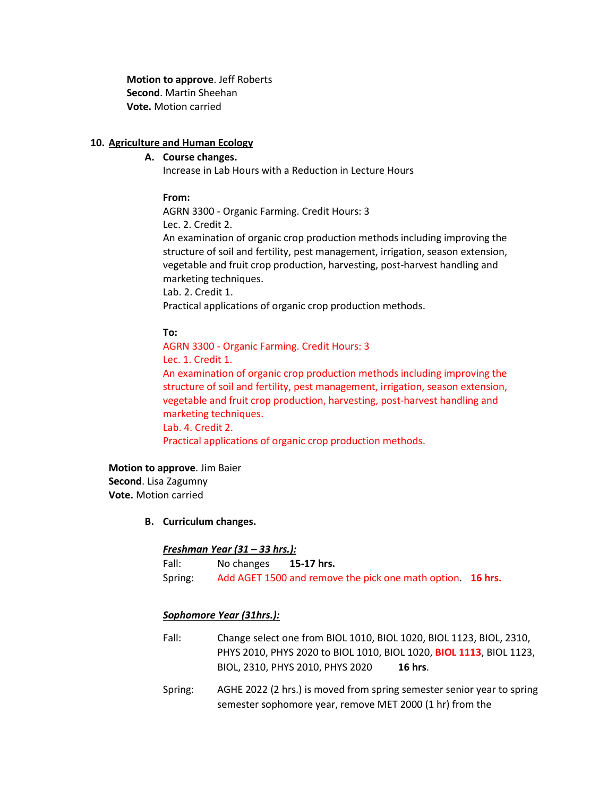**Motion to approve**. Jeff Roberts **Second**. Martin Sheehan **Vote.** Motion carried

# **10. Agriculture and Human Ecology**

# **A. Course changes.**

Increase in Lab Hours with a Reduction in Lecture Hours

## **From:**

AGRN 3300 - Organic Farming. Credit Hours: 3 Lec. 2. Credit 2.

An examination of organic crop production methods including improving the structure of soil and fertility, pest management, irrigation, season extension, vegetable and fruit crop production, harvesting, post-harvest handling and marketing techniques.

Lab. 2. Credit 1.

Practical applications of organic crop production methods.

# **To:**

AGRN 3300 - Organic Farming. Credit Hours: 3 Lec. 1. Credit 1. An examination of organic crop production methods including improving the structure of soil and fertility, pest management, irrigation, season extension, vegetable and fruit crop production, harvesting, post-harvest handling and marketing techniques. Lab. 4. Credit 2. Practical applications of organic crop production methods.

**Motion to approve**. Jim Baier **Second**. Lisa Zagumny **Vote.** Motion carried

## **B. Curriculum changes.**

## *Freshman Year (31 – 33 hrs.):*

Fall: No changes **15-17 hrs.** Spring: Add AGET 1500 and remove the pick one math option. **16 hrs.**

## *Sophomore Year (31hrs.):*

- Fall: Change select one from BIOL 1010, BIOL 1020, BIOL 1123, BIOL, 2310, PHYS 2010, PHYS 2020 to BIOL 1010, BIOL 1020, **BIOL 1113**, BIOL 1123, BIOL, 2310, PHYS 2010, PHYS 2020 **16 hrs**.
- Spring: AGHE 2022 (2 hrs.) is moved from spring semester senior year to spring semester sophomore year, remove MET 2000 (1 hr) from the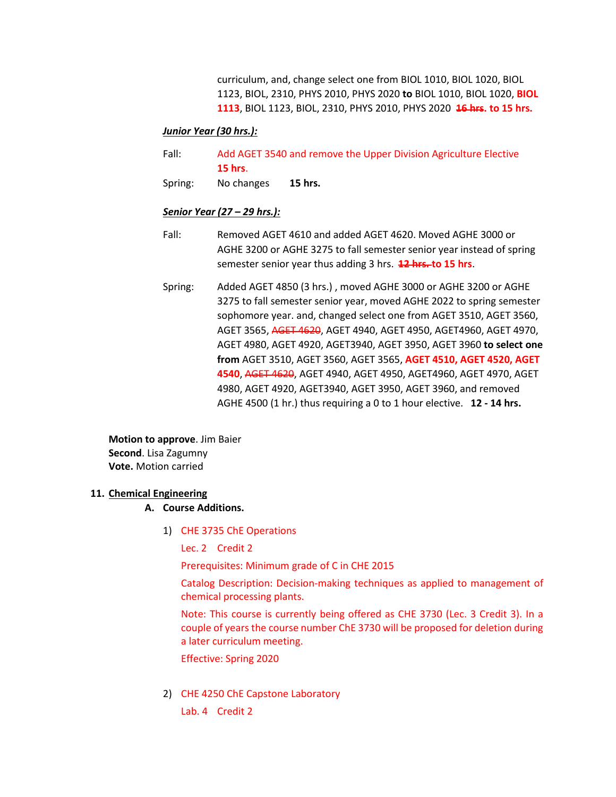curriculum, and, change select one from BIOL 1010, BIOL 1020, BIOL 1123, BIOL, 2310, PHYS 2010, PHYS 2020 **to** BIOL 1010, BIOL 1020, **BIOL 1113**, BIOL 1123, BIOL, 2310, PHYS 2010, PHYS 2020 **16 hrs. to 15 hrs.**

# *Junior Year (30 hrs.):*

- Fall: Add AGET 3540 and remove the Upper Division Agriculture Elective **15 hrs**.
- Spring: No changes **15 hrs.**

# *Senior Year (27 – 29 hrs.):*

- Fall: Removed AGET 4610 and added AGET 4620. Moved AGHE 3000 or AGHE 3200 or AGHE 3275 to fall semester senior year instead of spring semester senior year thus adding 3 hrs. **12 hrs. to 15 hrs**.
- Spring: Added AGET 4850 (3 hrs.) , moved AGHE 3000 or AGHE 3200 or AGHE 3275 to fall semester senior year, moved AGHE 2022 to spring semester sophomore year. and, changed select one from AGET 3510, AGET 3560, AGET 3565, AGET 4620, AGET 4940, AGET 4950, AGET4960, AGET 4970, AGET 4980, AGET 4920, AGET3940, AGET 3950, AGET 3960 **to select one from** AGET 3510, AGET 3560, AGET 3565, **AGET 4510, AGET 4520, AGET 4540**, AGET 4620, AGET 4940, AGET 4950, AGET4960, AGET 4970, AGET 4980, AGET 4920, AGET3940, AGET 3950, AGET 3960, and removed AGHE 4500 (1 hr.) thus requiring a 0 to 1 hour elective. **12 - 14 hrs.**

**Motion to approve**. Jim Baier **Second**. Lisa Zagumny **Vote.** Motion carried

## **11. Chemical Engineering**

## **A. Course Additions.**

1) CHE 3735 ChE Operations

Lec. 2 Credit 2

Prerequisites: Minimum grade of C in CHE 2015

Catalog Description: Decision-making techniques as applied to management of chemical processing plants.

Note: This course is currently being offered as CHE 3730 (Lec. 3 Credit 3). In a couple of years the course number ChE 3730 will be proposed for deletion during a later curriculum meeting.

Effective: Spring 2020

- 2) CHE 4250 ChE Capstone Laboratory
	- Lab. 4 Credit 2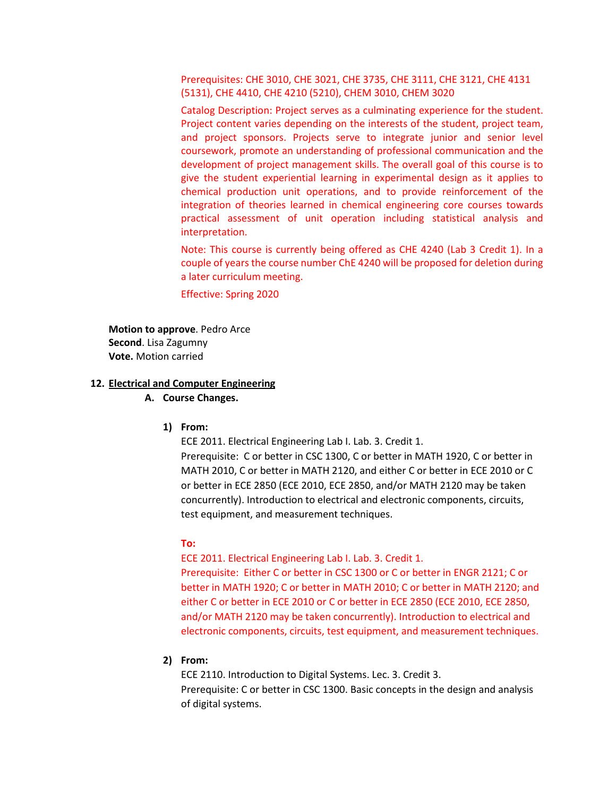Prerequisites: CHE 3010, CHE 3021, CHE 3735, CHE 3111, CHE 3121, CHE 4131 (5131), CHE 4410, CHE 4210 (5210), CHEM 3010, CHEM 3020

Catalog Description: Project serves as a culminating experience for the student. Project content varies depending on the interests of the student, project team, and project sponsors. Projects serve to integrate junior and senior level coursework, promote an understanding of professional communication and the development of project management skills. The overall goal of this course is to give the student experiential learning in experimental design as it applies to chemical production unit operations, and to provide reinforcement of the integration of theories learned in chemical engineering core courses towards practical assessment of unit operation including statistical analysis and interpretation.

Note: This course is currently being offered as CHE 4240 (Lab 3 Credit 1). In a couple of years the course number ChE 4240 will be proposed for deletion during a later curriculum meeting.

Effective: Spring 2020

**Motion to approve**. Pedro Arce **Second**. Lisa Zagumny **Vote.** Motion carried

## **12. Electrical and Computer Engineering**

#### **A. Course Changes.**

#### **1) From:**

ECE 2011. Electrical Engineering Lab I. Lab. 3. Credit 1.

Prerequisite: C or better in CSC 1300, C or better in MATH 1920, C or better in MATH 2010, C or better in MATH 2120, and either C or better in ECE 2010 or C or better in ECE 2850 (ECE 2010, ECE 2850, and/or MATH 2120 may be taken concurrently). Introduction to electrical and electronic components, circuits, test equipment, and measurement techniques.

#### **To:**

ECE 2011. Electrical Engineering Lab I. Lab. 3. Credit 1.

Prerequisite: Either C or better in CSC 1300 or C or better in ENGR 2121; C or better in MATH 1920; C or better in MATH 2010; C or better in MATH 2120; and either C or better in ECE 2010 or C or better in ECE 2850 (ECE 2010, ECE 2850, and/or MATH 2120 may be taken concurrently). Introduction to electrical and electronic components, circuits, test equipment, and measurement techniques.

# **2) From:**

ECE 2110. Introduction to Digital Systems. Lec. 3. Credit 3. Prerequisite: C or better in CSC 1300. Basic concepts in the design and analysis of digital systems.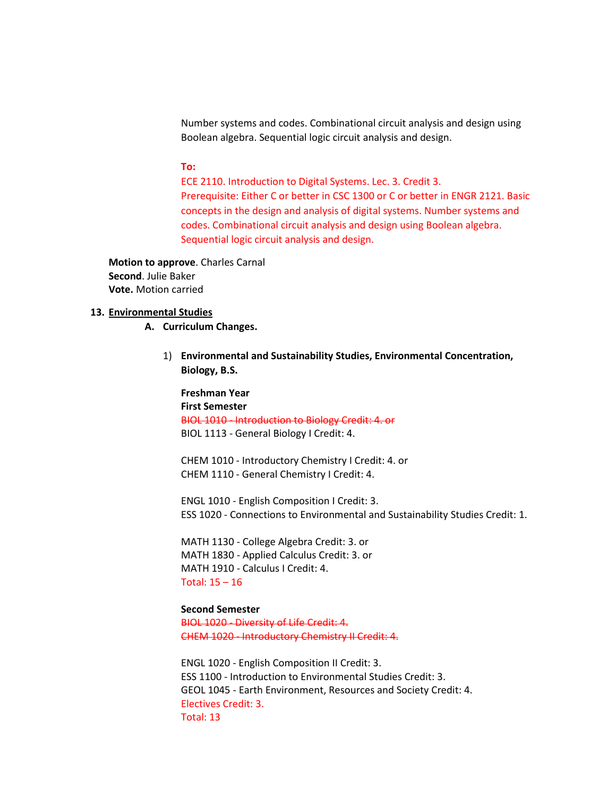Number systems and codes. Combinational circuit analysis and design using Boolean algebra. Sequential logic circuit analysis and design.

#### **To:**

ECE 2110. Introduction to Digital Systems. Lec. 3. Credit 3. Prerequisite: Either C or better in CSC 1300 or C or better in ENGR 2121. Basic concepts in the design and analysis of digital systems. Number systems and codes. Combinational circuit analysis and design using Boolean algebra. Sequential logic circuit analysis and design.

**Motion to approve**. Charles Carnal **Second**. Julie Baker **Vote.** Motion carried

## **13. Environmental Studies**

**A. Curriculum Changes.**

1) **Environmental and Sustainability Studies, Environmental Concentration, Biology, B.S.** 

**Freshman Year First Semester** BIOL 1010 - Introduction to Biology Credit: 4. or BIOL 1113 - General Biology I Credit: 4.

CHEM 1010 - Introductory Chemistry I Credit: 4. or CHEM 1110 - General Chemistry I Credit: 4.

ENGL 1010 - English Composition I Credit: 3. ESS 1020 - Connections to Environmental and Sustainability Studies Credit: 1.

MATH 1130 - College Algebra Credit: 3. or MATH 1830 - Applied Calculus Credit: 3. or MATH 1910 - Calculus I Credit: 4. Total: 15 – 16

# **Second Semester**

BIOL 1020 - Diversity of Life Credit: 4. CHEM 1020 - Introductory Chemistry II Credit: 4.

ENGL 1020 - English Composition II Credit: 3. ESS 1100 - Introduction to Environmental Studies Credit: 3. GEOL 1045 - Earth Environment, Resources and Society Credit: 4. Electives Credit: 3. Total: 13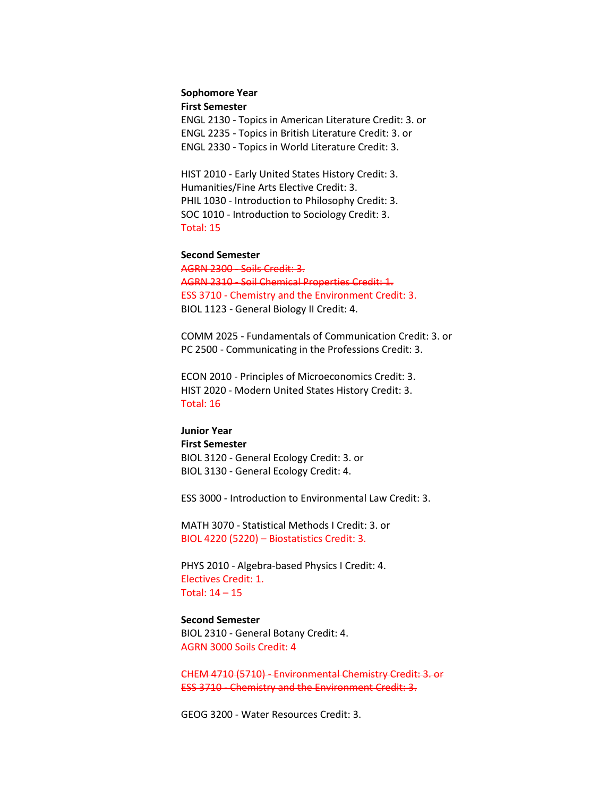## **Sophomore Year**

**First Semester**

ENGL 2130 - Topics in American Literature Credit: 3. or ENGL 2235 - Topics in British Literature Credit: 3. or ENGL 2330 - Topics in World Literature Credit: 3.

HIST 2010 - Early United States History Credit: 3. Humanities/Fine Arts Elective Credit: 3. PHIL 1030 - Introduction to Philosophy Credit: 3. SOC 1010 - Introduction to Sociology Credit: 3. Total: 15

#### **Second Semester**

AGRN 2300 - Soils Credit: 3. AGRN 2310 - Soil Chemical Properties Credit: 1. ESS 3710 - Chemistry and the Environment Credit: 3. BIOL 1123 - General Biology II Credit: 4.

COMM 2025 - Fundamentals of Communication Credit: 3. or PC 2500 - Communicating in the Professions Credit: 3.

ECON 2010 - Principles of Microeconomics Credit: 3. HIST 2020 - Modern United States History Credit: 3. Total: 16

# **Junior Year First Semester** BIOL 3120 - General Ecology Credit: 3. or BIOL 3130 - General Ecology Credit: 4.

ESS 3000 - Introduction to Environmental Law Credit: 3.

MATH 3070 - Statistical Methods I Credit: 3. or BIOL 4220 (5220) – Biostatistics Credit: 3.

PHYS 2010 - Algebra-based Physics I Credit: 4. Electives Credit: 1. Total: 14 – 15

## **Second Semester** BIOL 2310 - General Botany Credit: 4.

AGRN 3000 Soils Credit: 4

CHEM 4710 (5710) - Environmental Chemistry Credit: 3. or ESS 3710 - Chemistry and the Environment Credit: 3.

GEOG 3200 - Water Resources Credit: 3.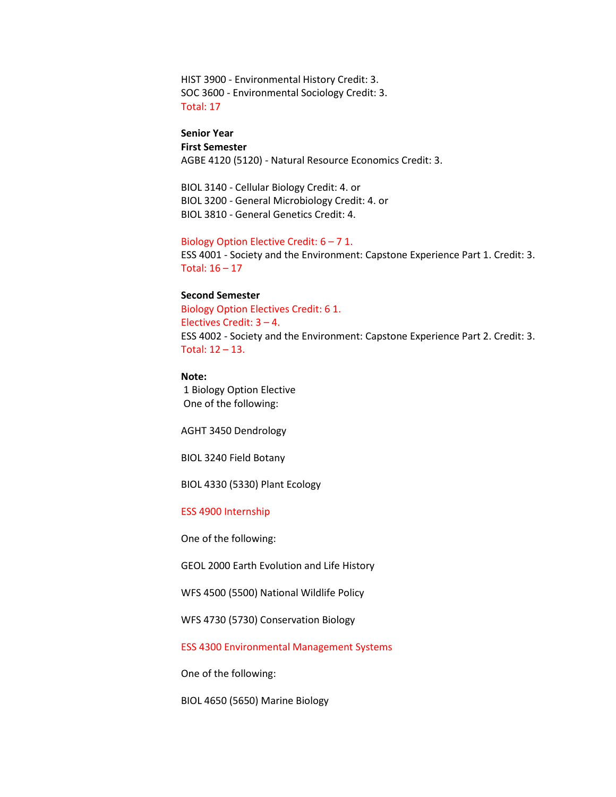HIST 3900 - Environmental History Credit: 3. SOC 3600 - Environmental Sociology Credit: 3. Total: 17

# **Senior Year**

**First Semester** AGBE 4120 (5120) - Natural Resource Economics Credit: 3.

BIOL 3140 - Cellular Biology Credit: 4. or BIOL 3200 - General Microbiology Credit: 4. or BIOL 3810 - General Genetics Credit: 4.

#### Biology Option Elective Credit: 6 – 7 1.

ESS 4001 - Society and the Environment: Capstone Experience Part 1. Credit: 3. Total: 16 – 17

# **Second Semester**

Biology Option Electives Credit: 6 1. Electives Credit: 3 – 4. ESS 4002 - Society and the Environment: Capstone Experience Part 2. Credit: 3. Total: 12 – 13.

# **Note:**

1 Biology Option Elective One of the following:

AGHT 3450 Dendrology

BIOL 3240 Field Botany

BIOL 4330 (5330) Plant Ecology

## ESS 4900 Internship

One of the following:

GEOL 2000 Earth Evolution and Life History

WFS 4500 (5500) National Wildlife Policy

WFS 4730 (5730) Conservation Biology

ESS 4300 Environmental Management Systems

One of the following:

BIOL 4650 (5650) Marine Biology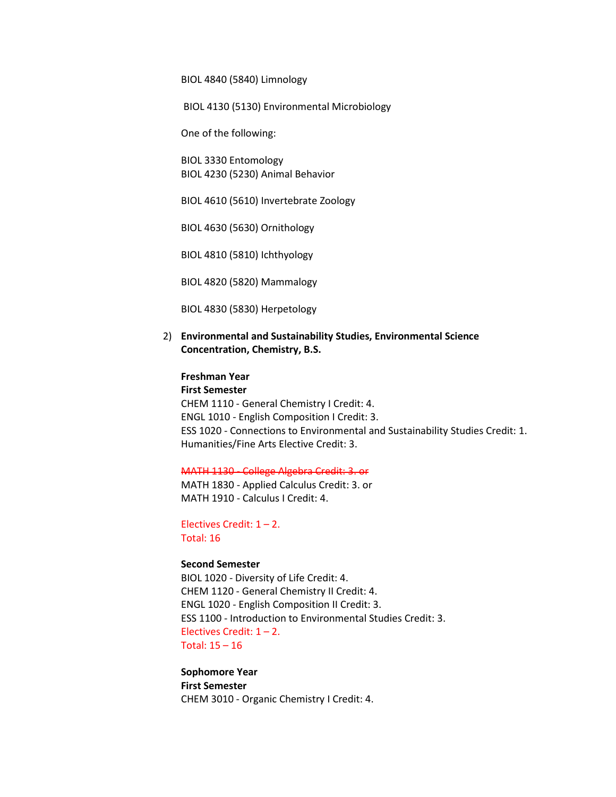BIOL 4840 (5840) Limnology

BIOL 4130 (5130) Environmental Microbiology

One of the following:

BIOL 3330 Entomology BIOL 4230 (5230) Animal Behavior

BIOL 4610 (5610) Invertebrate Zoology

BIOL 4630 (5630) Ornithology

BIOL 4810 (5810) Ichthyology

BIOL 4820 (5820) Mammalogy

BIOL 4830 (5830) Herpetology

2) **Environmental and Sustainability Studies, Environmental Science Concentration, Chemistry, B.S.**

**Freshman Year First Semester** CHEM 1110 - General Chemistry I Credit: 4. ENGL 1010 - English Composition I Credit: 3. ESS 1020 - Connections to Environmental and Sustainability Studies Credit: 1. Humanities/Fine Arts Elective Credit: 3.

MATH 1130 - College Algebra Credit: 3. or

MATH 1830 - Applied Calculus Credit: 3. or MATH 1910 - Calculus I Credit: 4.

Electives Credit:  $1 - 2$ . Total: 16

# **Second Semester**

BIOL 1020 - Diversity of Life Credit: 4. CHEM 1120 - General Chemistry II Credit: 4. ENGL 1020 - English Composition II Credit: 3. ESS 1100 - Introduction to Environmental Studies Credit: 3. Electives Credit: 1 – 2. Total: 15 – 16

**Sophomore Year First Semester** CHEM 3010 - Organic Chemistry I Credit: 4.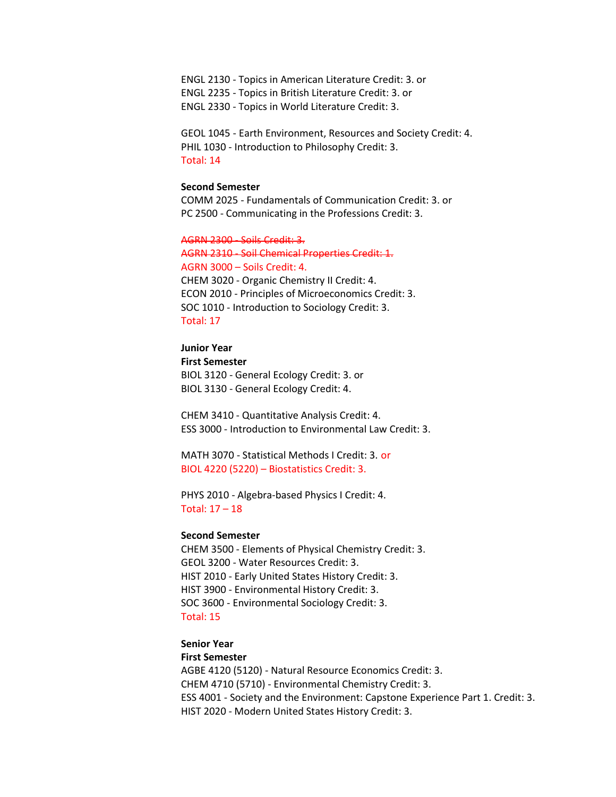ENGL 2130 - Topics in American Literature Credit: 3. or ENGL 2235 - Topics in British Literature Credit: 3. or ENGL 2330 - Topics in World Literature Credit: 3.

GEOL 1045 - Earth Environment, Resources and Society Credit: 4. PHIL 1030 - Introduction to Philosophy Credit: 3. Total: 14

## **Second Semester**

COMM 2025 - Fundamentals of Communication Credit: 3. or PC 2500 - Communicating in the Professions Credit: 3.

AGRN 2300 - Soils Credit: 3. AGRN 2310 - Soil Chemical Properties Credit: 1. AGRN 3000 – Soils Credit: 4. CHEM 3020 - Organic Chemistry II Credit: 4. ECON 2010 - Principles of Microeconomics Credit: 3. SOC 1010 - Introduction to Sociology Credit: 3. Total: 17

# **Junior Year**

**First Semester** BIOL 3120 - General Ecology Credit: 3. or BIOL 3130 - General Ecology Credit: 4.

CHEM 3410 - Quantitative Analysis Credit: 4. ESS 3000 - Introduction to Environmental Law Credit: 3.

MATH 3070 - Statistical Methods I Credit: 3. or BIOL 4220 (5220) – Biostatistics Credit: 3.

PHYS 2010 - Algebra-based Physics I Credit: 4. Total: 17 – 18

#### **Second Semester**

CHEM 3500 - Elements of Physical Chemistry Credit: 3. GEOL 3200 - Water Resources Credit: 3. HIST 2010 - Early United States History Credit: 3. HIST 3900 - Environmental History Credit: 3. SOC 3600 - Environmental Sociology Credit: 3. Total: 15

# **Senior Year**

# **First Semester**

AGBE 4120 (5120) - Natural Resource Economics Credit: 3. CHEM 4710 (5710) - Environmental Chemistry Credit: 3. ESS 4001 - Society and the Environment: Capstone Experience Part 1. Credit: 3. HIST 2020 - Modern United States History Credit: 3.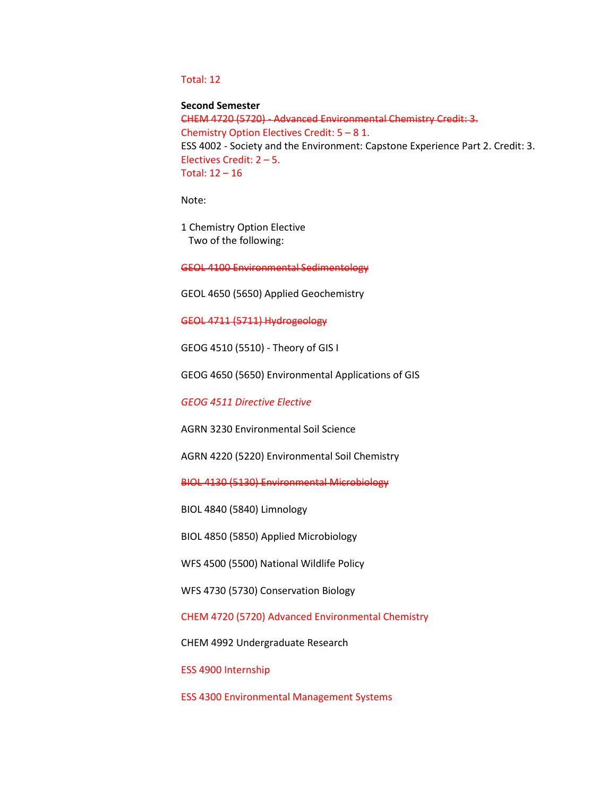# Total: 12

## **Second Semester**

CHEM 4720 (5720) - Advanced Environmental Chemistry Credit: 3. Chemistry Option Electives Credit: 5 – 8 1. ESS 4002 - Society and the Environment: Capstone Experience Part 2. Credit: 3. Electives Credit: 2 – 5. Total: 12 – 16

Note:

1 Chemistry Option Elective Two of the following:

GEOL 4100 Environmental Sedimentology

GEOL 4650 (5650) Applied Geochemistry

GEOL 4711 (5711) Hydrogeology

GEOG 4510 (5510) - Theory of GIS I

GEOG 4650 (5650) Environmental Applications of GIS

*GEOG 4511 Directive Elective* 

AGRN 3230 Environmental Soil Science

AGRN 4220 (5220) Environmental Soil Chemistry

BIOL 4130 (5130) Environmental Microbiology

BIOL 4840 (5840) Limnology

BIOL 4850 (5850) Applied Microbiology

WFS 4500 (5500) National Wildlife Policy

WFS 4730 (5730) Conservation Biology

CHEM 4720 (5720) Advanced Environmental Chemistry

CHEM 4992 Undergraduate Research

ESS 4900 Internship

ESS 4300 Environmental Management Systems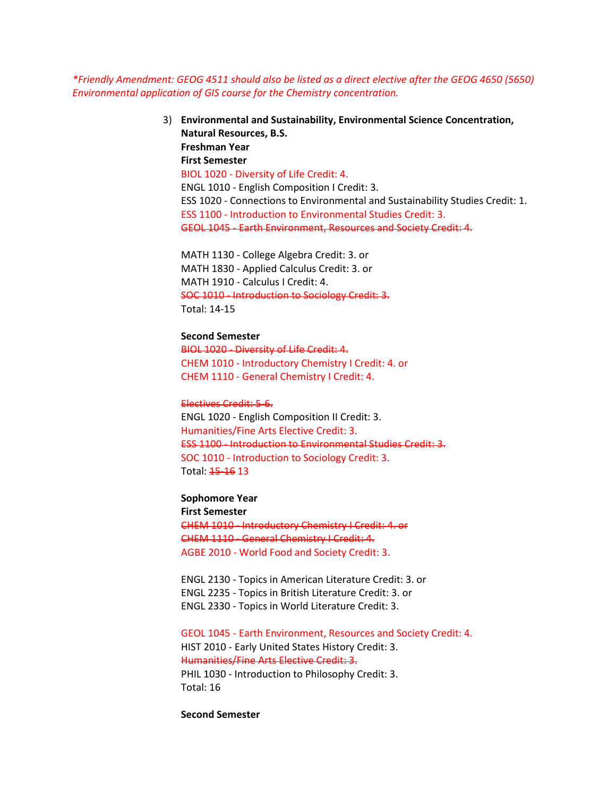*\*Friendly Amendment: GEOG 4511 should also be listed as a direct elective after the GEOG 4650 (5650) Environmental application of GIS course for the Chemistry concentration.* 

> 3) **Environmental and Sustainability, Environmental Science Concentration, Natural Resources, B.S. Freshman Year First Semester** BIOL 1020 - Diversity of Life Credit: 4. ENGL 1010 - English Composition I Credit: 3. ESS 1020 - Connections to Environmental and Sustainability Studies Credit: 1. ESS 1100 - Introduction to Environmental Studies Credit: 3. GEOL 1045 - Earth Environment, Resources and Society Credit: 4.

MATH 1130 - College Algebra Credit: 3. or MATH 1830 - Applied Calculus Credit: 3. or MATH 1910 - Calculus I Credit: 4. SOC 1010 - Introduction to Sociology Credit: 3. Total: 14-15

## **Second Semester**

BIOL 1020 - Diversity of Life Credit: 4. CHEM 1010 - Introductory Chemistry I Credit: 4. or CHEM 1110 - General Chemistry I Credit: 4.

Electives Credit: 5-6. ENGL 1020 - English Composition II Credit: 3. Humanities/Fine Arts Elective Credit: 3. ESS 1100 - Introduction to Environmental Studies Credit: 3. SOC 1010 - Introduction to Sociology Credit: 3. Total: 15-16 13

# **Sophomore Year**

**First Semester** CHEM 1010 - Introductory Chemistry I Credit: 4. or CHEM 1110 - General Chemistry I Credit: 4. AGBE 2010 - World Food and Society Credit: 3.

ENGL 2130 - Topics in American Literature Credit: 3. or ENGL 2235 - Topics in British Literature Credit: 3. or ENGL 2330 - Topics in World Literature Credit: 3.

GEOL 1045 - Earth Environment, Resources and Society Credit: 4. HIST 2010 - Early United States History Credit: 3. Humanities/Fine Arts Elective Credit: 3. PHIL 1030 - Introduction to Philosophy Credit: 3. Total: 16

**Second Semester**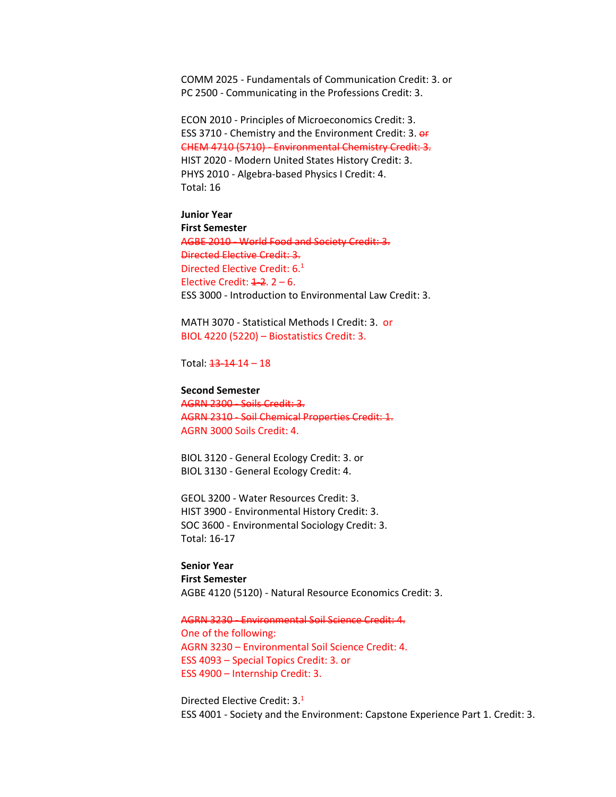COMM 2025 - Fundamentals of Communication Credit: 3. or PC 2500 - Communicating in the Professions Credit: 3.

ECON 2010 - Principles of Microeconomics Credit: 3. ESS 3710 - Chemistry and the Environment Credit: 3. or CHEM 4710 (5710) - Environmental Chemistry Credit: 3. HIST 2020 - Modern United States History Credit: 3. PHYS 2010 - Algebra-based Physics I Credit: 4. Total: 16

**Junior Year First Semester** AGBE 2010 - World Food and Society Credit: 3. Directed Elective Credit: 3. Directed Elective Credit: 6.<sup>1</sup> Elective Credit:  $4-2$ ,  $2-6$ . ESS 3000 - Introduction to Environmental Law Credit: 3.

MATH 3070 - Statistical Methods I Credit: 3. or BIOL 4220 (5220) – Biostatistics Credit: 3.

Total:  $13 - 14 - 18$ 

#### **Second Semester**

AGRN 2300 - Soils Credit: 3. AGRN 2310 - Soil Chemical Properties Credit: 1. AGRN 3000 Soils Credit: 4.

BIOL 3120 - General Ecology Credit: 3. or BIOL 3130 - General Ecology Credit: 4.

GEOL 3200 - Water Resources Credit: 3. HIST 3900 - Environmental History Credit: 3. SOC 3600 - Environmental Sociology Credit: 3. Total: 16-17

**Senior Year First Semester** AGBE 4120 (5120) - Natural Resource Economics Credit: 3.

AGRN 3230 - Environmental Soil Science Credit: 4. One of the following: AGRN 3230 – Environmental Soil Science Credit: 4. ESS 4093 – Special Topics Credit: 3. or ESS 4900 – Internship Credit: 3.

Directed Elective Credit: 3.1 ESS 4001 - Society and the Environment: Capstone Experience Part 1. Credit: 3.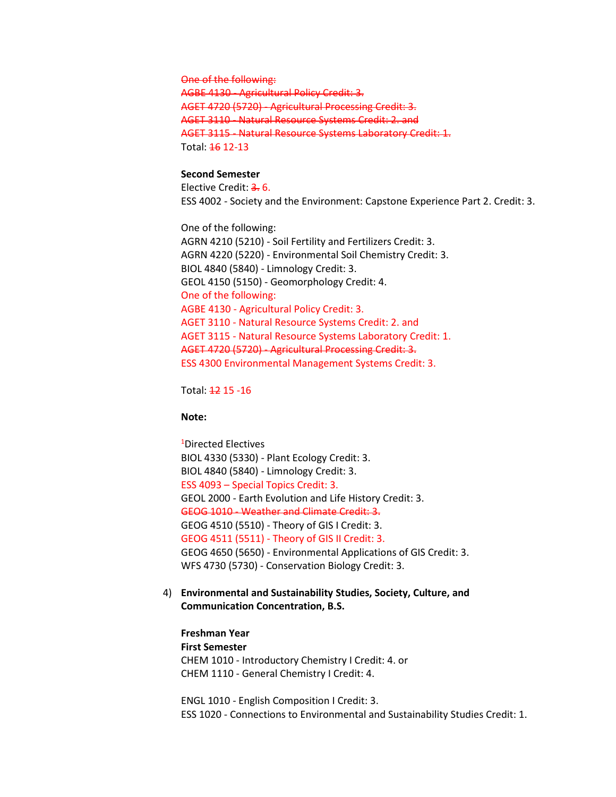One of the following:

AGBE 4130 - Agricultural Policy Credit: 3. AGET 4720 (5720) - Agricultural Processing Credit: 3. AGET 3110 - Natural Resource Systems Credit: 2. and AGET 3115 - Natural Resource Systems Laboratory Credit: 1. Total: 16 12-13

# **Second Semester**

Elective Credit: 3.6. ESS 4002 - Society and the Environment: Capstone Experience Part 2. Credit: 3.

One of the following: AGRN 4210 (5210) - Soil Fertility and Fertilizers Credit: 3. AGRN 4220 (5220) - Environmental Soil Chemistry Credit: 3. BIOL 4840 (5840) - Limnology Credit: 3. GEOL 4150 (5150) - Geomorphology Credit: 4. One of the following: AGBE 4130 - Agricultural Policy Credit: 3. AGET 3110 - Natural Resource Systems Credit: 2. and AGET 3115 - Natural Resource Systems Laboratory Credit: 1. AGET 4720 (5720) - Agricultural Processing Credit: 3. ESS 4300 Environmental Management Systems Credit: 3.

Total: 12 15 -16

#### **Note:**

1 Directed Electives BIOL 4330 (5330) - Plant Ecology Credit: 3. BIOL 4840 (5840) - Limnology Credit: 3. ESS 4093 – Special Topics Credit: 3. GEOL 2000 - Earth Evolution and Life History Credit: 3. GEOG 1010 - Weather and Climate Credit: 3. GEOG 4510 (5510) - Theory of GIS I Credit: 3. GEOG 4511 (5511) - Theory of GIS II Credit: 3. GEOG 4650 (5650) - Environmental Applications of GIS Credit: 3. WFS 4730 (5730) - Conservation Biology Credit: 3.

4) **Environmental and Sustainability Studies, Society, Culture, and Communication Concentration, B.S.**

**Freshman Year First Semester** CHEM 1010 - Introductory Chemistry I Credit: 4. or CHEM 1110 - General Chemistry I Credit: 4.

ENGL 1010 - English Composition I Credit: 3. ESS 1020 - Connections to Environmental and Sustainability Studies Credit: 1.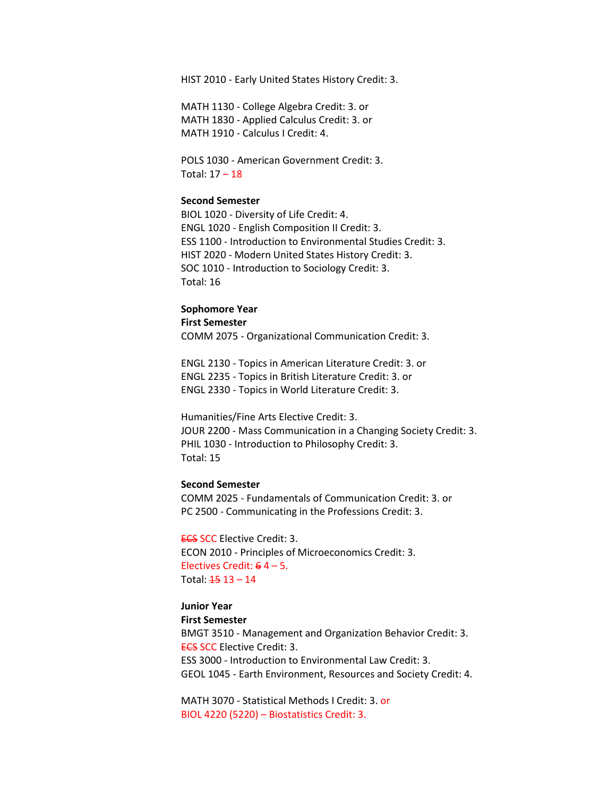HIST 2010 - Early United States History Credit: 3.

MATH 1130 - College Algebra Credit: 3. or MATH 1830 - Applied Calculus Credit: 3. or MATH 1910 - Calculus I Credit: 4.

POLS 1030 - American Government Credit: 3. Total: 17 – 18

# **Second Semester**

BIOL 1020 - Diversity of Life Credit: 4. ENGL 1020 - English Composition II Credit: 3. ESS 1100 - Introduction to Environmental Studies Credit: 3. HIST 2020 - Modern United States History Credit: 3. SOC 1010 - Introduction to Sociology Credit: 3. Total: 16

# **Sophomore Year**

**First Semester**

COMM 2075 - Organizational Communication Credit: 3.

ENGL 2130 - Topics in American Literature Credit: 3. or ENGL 2235 - Topics in British Literature Credit: 3. or ENGL 2330 - Topics in World Literature Credit: 3.

Humanities/Fine Arts Elective Credit: 3. JOUR 2200 - Mass Communication in a Changing Society Credit: 3. PHIL 1030 - Introduction to Philosophy Credit: 3. Total: 15

## **Second Semester**

COMM 2025 - Fundamentals of Communication Credit: 3. or PC 2500 - Communicating in the Professions Credit: 3.

ECS SCC Elective Credit: 3. ECON 2010 - Principles of Microeconomics Credit: 3. Electives Credit: 6 4 – 5. Total:  $4513 - 14$ 

# **Junior Year**

#### **First Semester**

BMGT 3510 - Management and Organization Behavior Credit: 3. **ECS SCC Elective Credit: 3.** ESS 3000 - Introduction to Environmental Law Credit: 3. GEOL 1045 - Earth Environment, Resources and Society Credit: 4.

MATH 3070 - Statistical Methods I Credit: 3. or BIOL 4220 (5220) – Biostatistics Credit: 3.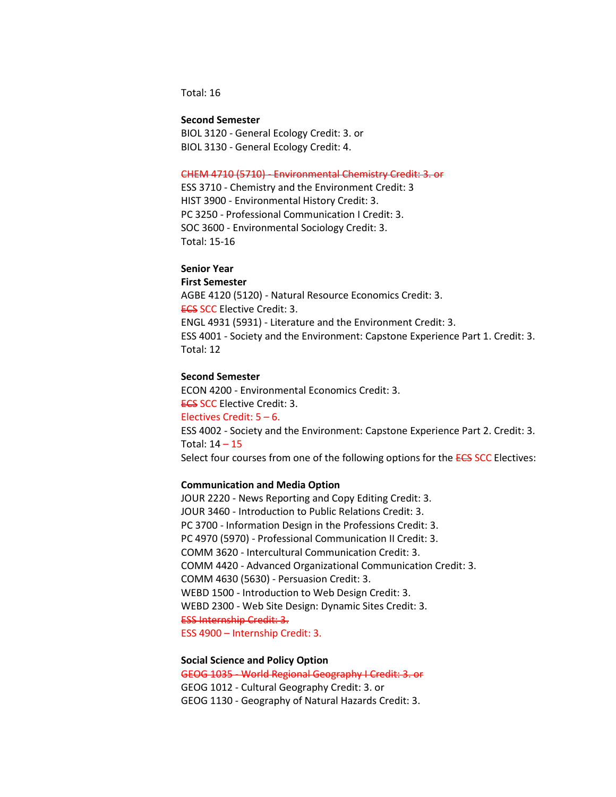Total: 16

#### **Second Semester**

BIOL 3120 - General Ecology Credit: 3. or BIOL 3130 - General Ecology Credit: 4.

#### CHEM 4710 (5710) - Environmental Chemistry Credit: 3. or

ESS 3710 - Chemistry and the Environment Credit: 3 HIST 3900 - Environmental History Credit: 3. PC 3250 - Professional Communication I Credit: 3. SOC 3600 - Environmental Sociology Credit: 3. Total: 15-16

## **Senior Year**

**First Semester**

AGBE 4120 (5120) - Natural Resource Economics Credit: 3. **ECS SCC Elective Credit: 3.** ENGL 4931 (5931) - Literature and the Environment Credit: 3. ESS 4001 - Society and the Environment: Capstone Experience Part 1. Credit: 3. Total: 12

## **Second Semester**

ECON 4200 - Environmental Economics Credit: 3. ECS SCC Elective Credit: 3. Electives Credit: 5 – 6. ESS 4002 - Society and the Environment: Capstone Experience Part 2. Credit: 3. Total: 14 – 15 Select four courses from one of the following options for the **ECS SCC** Electives:

# **Communication and Media Option**

JOUR 2220 - News Reporting and Copy Editing Credit: 3. JOUR 3460 - Introduction to Public Relations Credit: 3. PC 3700 - Information Design in the Professions Credit: 3. PC 4970 (5970) - Professional Communication II Credit: 3. COMM 3620 - Intercultural Communication Credit: 3. COMM 4420 - Advanced Organizational Communication Credit: 3. COMM 4630 (5630) - Persuasion Credit: 3. WEBD 1500 - Introduction to Web Design Credit: 3. WEBD 2300 - Web Site Design: Dynamic Sites Credit: 3. ESS Internship Credit: 3. ESS 4900 – Internship Credit: 3.

#### **Social Science and Policy Option**

GEOG 1035 - World Regional Geography I Credit: 3. or GEOG 1012 - Cultural Geography Credit: 3. or GEOG 1130 - Geography of Natural Hazards Credit: 3.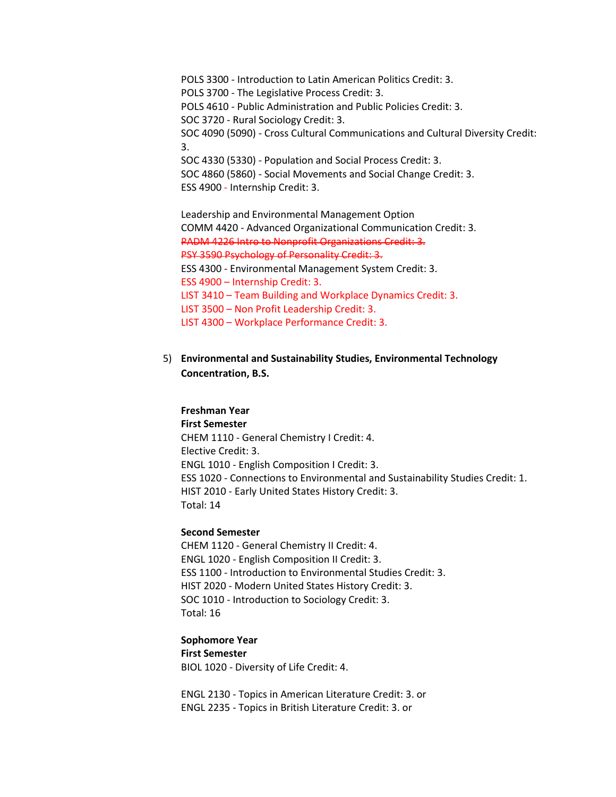POLS 3300 - Introduction to Latin American Politics Credit: 3. POLS 3700 - The Legislative Process Credit: 3. POLS 4610 - Public Administration and Public Policies Credit: 3. SOC 3720 - Rural Sociology Credit: 3. SOC 4090 (5090) - Cross Cultural Communications and Cultural Diversity Credit: 3. SOC 4330 (5330) - Population and Social Process Credit: 3. SOC 4860 (5860) - Social Movements and Social Change Credit: 3. ESS 4900 - Internship Credit: 3.

Leadership and Environmental Management Option COMM 4420 - Advanced Organizational Communication Credit: 3. PADM 4226 Intro to Nonprofit Organizations Credit: 3. PSY 3590 Psychology of Personality Credit: 3. ESS 4300 - Environmental Management System Credit: 3. ESS 4900 – Internship Credit: 3. LIST 3410 – Team Building and Workplace Dynamics Credit: 3. LIST 3500 – Non Profit Leadership Credit: 3. LIST 4300 – Workplace Performance Credit: 3.

5) **Environmental and Sustainability Studies, Environmental Technology Concentration, B.S.**

# **Freshman Year**

**First Semester** CHEM 1110 - General Chemistry I Credit: 4. Elective Credit: 3. ENGL 1010 - English Composition I Credit: 3. ESS 1020 - Connections to Environmental and Sustainability Studies Credit: 1. HIST 2010 - Early United States History Credit: 3. Total: 14

## **Second Semester**

CHEM 1120 - General Chemistry II Credit: 4. ENGL 1020 - English Composition II Credit: 3. ESS 1100 - Introduction to Environmental Studies Credit: 3. HIST 2020 - Modern United States History Credit: 3. SOC 1010 - Introduction to Sociology Credit: 3. Total: 16

# **Sophomore Year**

**First Semester** BIOL 1020 - Diversity of Life Credit: 4.

ENGL 2130 - Topics in American Literature Credit: 3. or ENGL 2235 - Topics in British Literature Credit: 3. or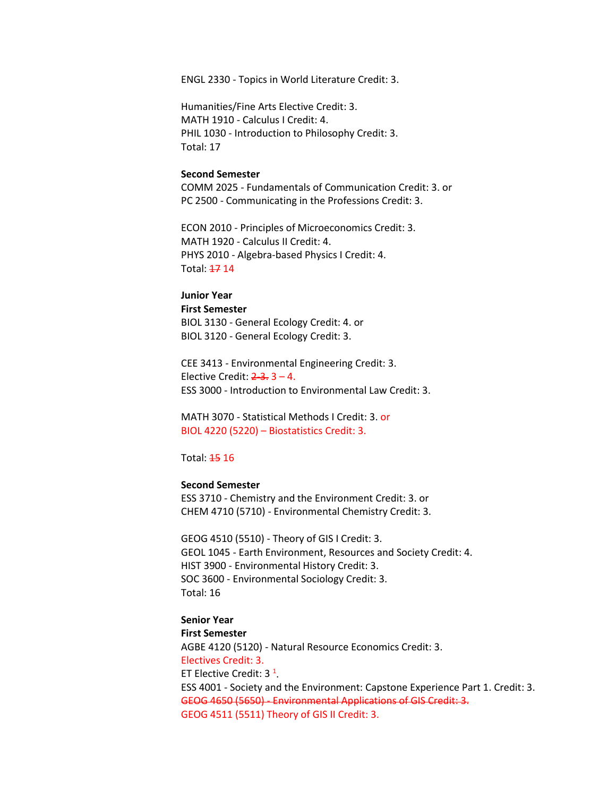ENGL 2330 - Topics in World Literature Credit: 3.

Humanities/Fine Arts Elective Credit: 3. MATH 1910 - Calculus I Credit: 4. PHIL 1030 - Introduction to Philosophy Credit: 3. Total: 17

## **Second Semester**

COMM 2025 - Fundamentals of Communication Credit: 3. or PC 2500 - Communicating in the Professions Credit: 3.

ECON 2010 - Principles of Microeconomics Credit: 3. MATH 1920 - Calculus II Credit: 4. PHYS 2010 - Algebra-based Physics I Credit: 4. Total: 17 14

#### **Junior Year**

#### **First Semester**

BIOL 3130 - General Ecology Credit: 4. or BIOL 3120 - General Ecology Credit: 3.

CEE 3413 - Environmental Engineering Credit: 3. Elective Credit:  $2-3-3-4$ . ESS 3000 - Introduction to Environmental Law Credit: 3.

MATH 3070 - Statistical Methods I Credit: 3. or BIOL 4220 (5220) – Biostatistics Credit: 3.

Total: 15 16

## **Second Semester**

ESS 3710 - Chemistry and the Environment Credit: 3. or CHEM 4710 (5710) - Environmental Chemistry Credit: 3.

GEOG 4510 (5510) - Theory of GIS I Credit: 3. GEOL 1045 - Earth Environment, Resources and Society Credit: 4. HIST 3900 - Environmental History Credit: 3. SOC 3600 - Environmental Sociology Credit: 3. Total: 16

**Senior Year First Semester** AGBE 4120 (5120) - Natural Resource Economics Credit: 3. Electives Credit: 3. ET Elective Credit: 3<sup>1</sup>. ESS 4001 - Society and the Environment: Capstone Experience Part 1. Credit: 3. GEOG 4650 (5650) - Environmental Applications of GIS Credit: 3. GEOG 4511 (5511) Theory of GIS II Credit: 3.